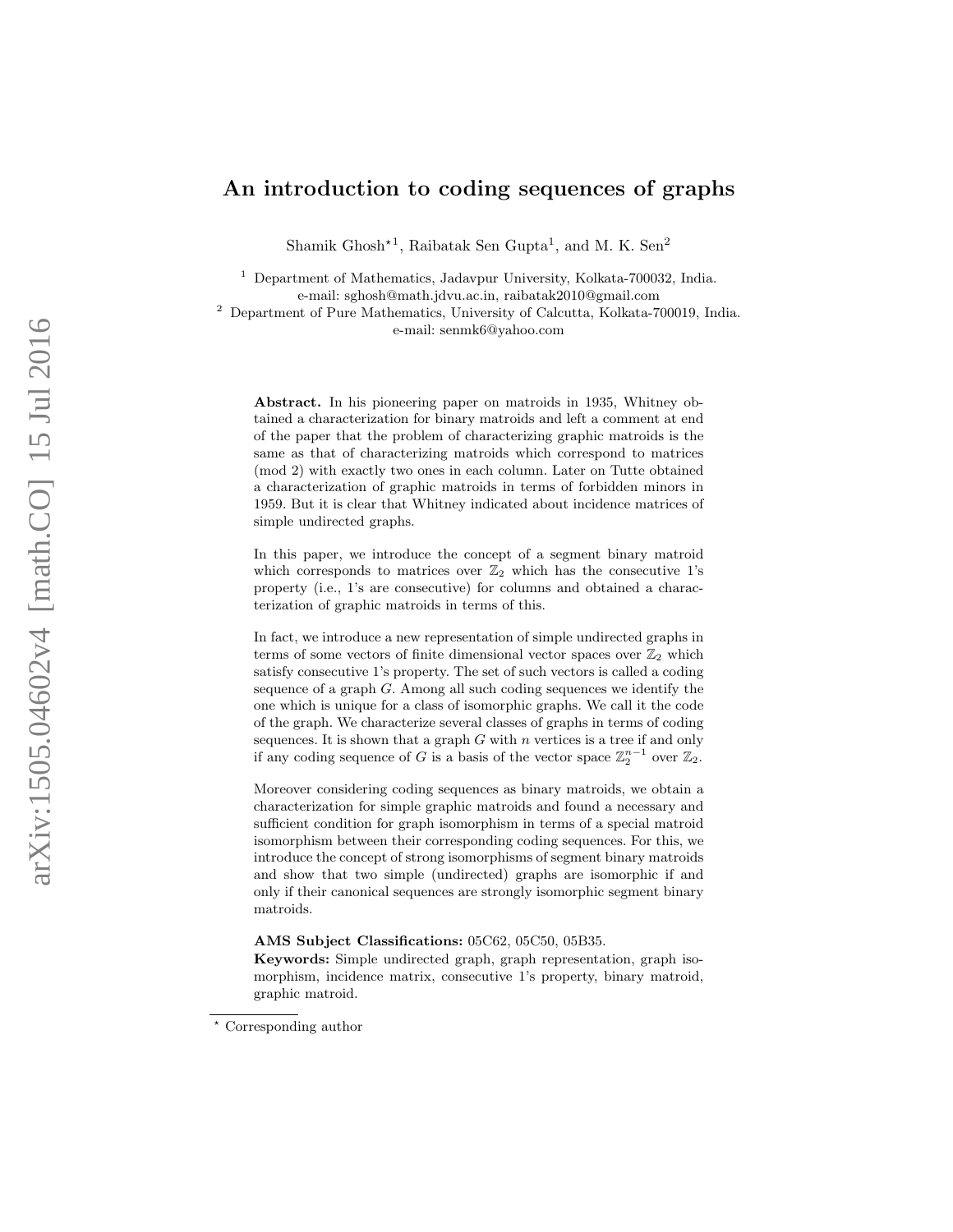# An introduction to coding sequences of graphs

Shamik Ghosh<sup>\*1</sup>, Raibatak Sen Gupta<sup>1</sup>, and M. K. Sen<sup>2</sup>

<sup>1</sup> Department of Mathematics, Jadavpur University, Kolkata-700032, India. e-mail: sghosh@math.jdvu.ac.in, raibatak2010@gmail.com

<sup>2</sup> Department of Pure Mathematics, University of Calcutta, Kolkata-700019, India. e-mail: senmk6@yahoo.com

Abstract. In his pioneering paper on matroids in 1935, Whitney obtained a characterization for binary matroids and left a comment at end of the paper that the problem of characterizing graphic matroids is the same as that of characterizing matroids which correspond to matrices (mod 2) with exactly two ones in each column. Later on Tutte obtained a characterization of graphic matroids in terms of forbidden minors in 1959. But it is clear that Whitney indicated about incidence matrices of simple undirected graphs.

In this paper, we introduce the concept of a segment binary matroid which corresponds to matrices over  $\mathbb{Z}_2$  which has the consecutive 1's property (i.e., 1's are consecutive) for columns and obtained a characterization of graphic matroids in terms of this.

In fact, we introduce a new representation of simple undirected graphs in terms of some vectors of finite dimensional vector spaces over  $\mathbb{Z}_2$  which satisfy consecutive 1's property. The set of such vectors is called a coding sequence of a graph G. Among all such coding sequences we identify the one which is unique for a class of isomorphic graphs. We call it the code of the graph. We characterize several classes of graphs in terms of coding sequences. It is shown that a graph  $G$  with  $n$  vertices is a tree if and only if any coding sequence of G is a basis of the vector space  $\mathbb{Z}_2^{n-1}$  over  $\mathbb{Z}_2$ .

Moreover considering coding sequences as binary matroids, we obtain a characterization for simple graphic matroids and found a necessary and sufficient condition for graph isomorphism in terms of a special matroid isomorphism between their corresponding coding sequences. For this, we introduce the concept of strong isomorphisms of segment binary matroids and show that two simple (undirected) graphs are isomorphic if and only if their canonical sequences are strongly isomorphic segment binary matroids.

#### AMS Subject Classifications: 05C62, 05C50, 05B35.

Keywords: Simple undirected graph, graph representation, graph isomorphism, incidence matrix, consecutive 1's property, binary matroid, graphic matroid.

<sup>?</sup> Corresponding author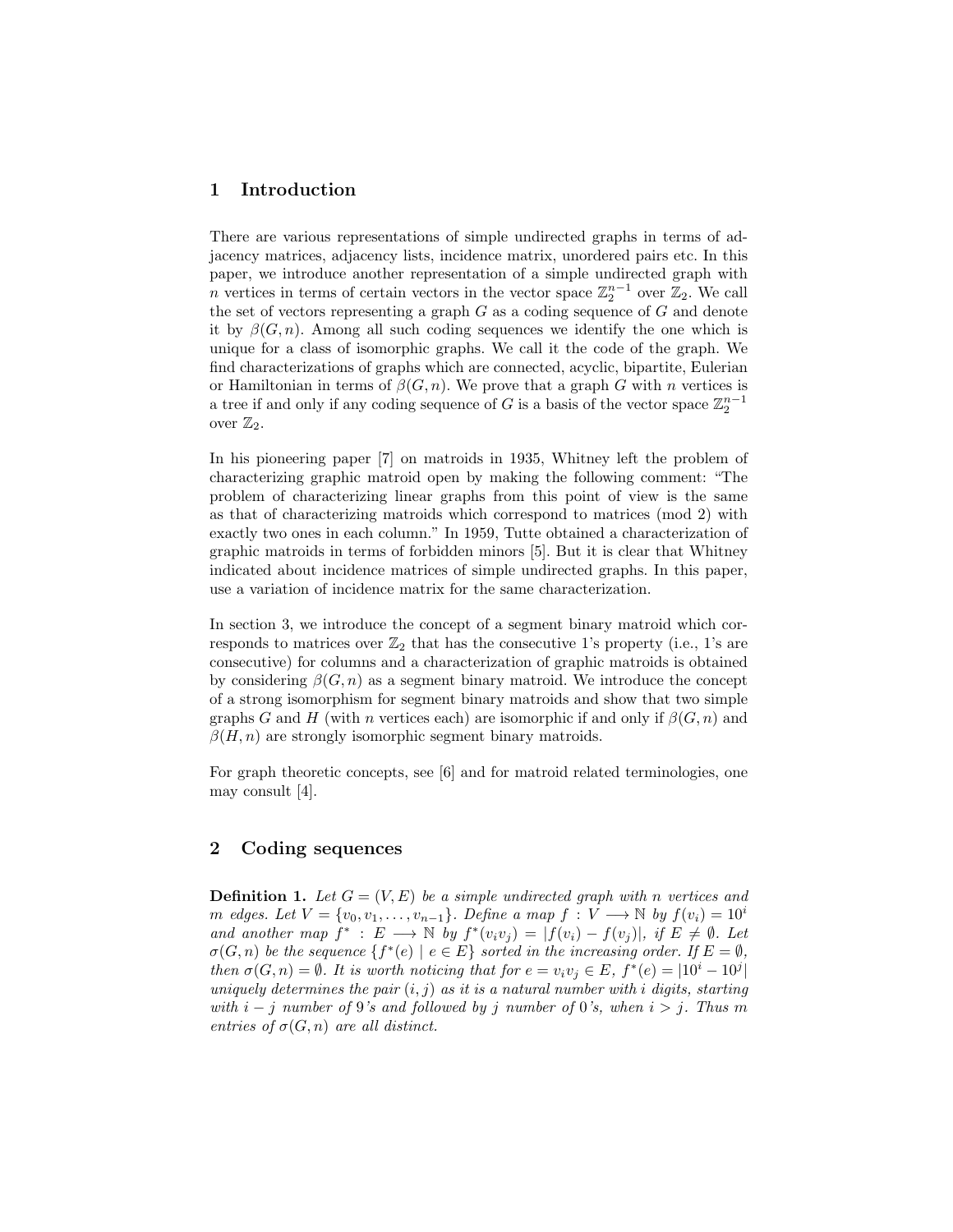## 1 Introduction

There are various representations of simple undirected graphs in terms of adjacency matrices, adjacency lists, incidence matrix, unordered pairs etc. In this paper, we introduce another representation of a simple undirected graph with n vertices in terms of certain vectors in the vector space  $\mathbb{Z}_2^{n-1}$  over  $\mathbb{Z}_2$ . We call the set of vectors representing a graph  $G$  as a coding sequence of  $G$  and denote it by  $\beta(G, n)$ . Among all such coding sequences we identify the one which is unique for a class of isomorphic graphs. We call it the code of the graph. We find characterizations of graphs which are connected, acyclic, bipartite, Eulerian or Hamiltonian in terms of  $\beta(G, n)$ . We prove that a graph G with n vertices is a tree if and only if any coding sequence of G is a basis of the vector space  $\mathbb{Z}_2^{n-1}$ over  $\mathbb{Z}_2$ .

In his pioneering paper [7] on matroids in 1935, Whitney left the problem of characterizing graphic matroid open by making the following comment: "The problem of characterizing linear graphs from this point of view is the same as that of characterizing matroids which correspond to matrices (mod 2) with exactly two ones in each column." In 1959, Tutte obtained a characterization of graphic matroids in terms of forbidden minors [5]. But it is clear that Whitney indicated about incidence matrices of simple undirected graphs. In this paper, use a variation of incidence matrix for the same characterization.

In section 3, we introduce the concept of a segment binary matroid which corresponds to matrices over  $\mathbb{Z}_2$  that has the consecutive 1's property (i.e., 1's are consecutive) for columns and a characterization of graphic matroids is obtained by considering  $\beta(G, n)$  as a segment binary matroid. We introduce the concept of a strong isomorphism for segment binary matroids and show that two simple graphs G and H (with n vertices each) are isomorphic if and only if  $\beta(G, n)$  and  $\beta(H, n)$  are strongly isomorphic segment binary matroids.

For graph theoretic concepts, see [6] and for matroid related terminologies, one may consult [4].

### 2 Coding sequences

**Definition 1.** Let  $G = (V, E)$  be a simple undirected graph with n vertices and m edges. Let  $V = \{v_0, v_1, \ldots, v_{n-1}\}.$  Define a map  $f : V \longrightarrow \mathbb{N}$  by  $f(v_i) = 10^i$ and another map  $f^*$ :  $E \longrightarrow \mathbb{N}$  by  $f^*(v_iv_j) = |f(v_i) - f(v_j)|$ , if  $E \neq \emptyset$ . Let  $\sigma(G, n)$  be the sequence  $\{f^*(e) \mid e \in E\}$  sorted in the increasing order. If  $E = \emptyset$ , then  $\sigma(G, n) = \emptyset$ . It is worth noticing that for  $e = v_i v_j \in E$ ,  $f^*(e) = |10^i - 10^j|$ uniquely determines the pair  $(i, j)$  as it is a natural number with i digits, starting with  $i - j$  number of 9's and followed by j number of 0's, when  $i > j$ . Thus m entries of  $\sigma(G, n)$  are all distinct.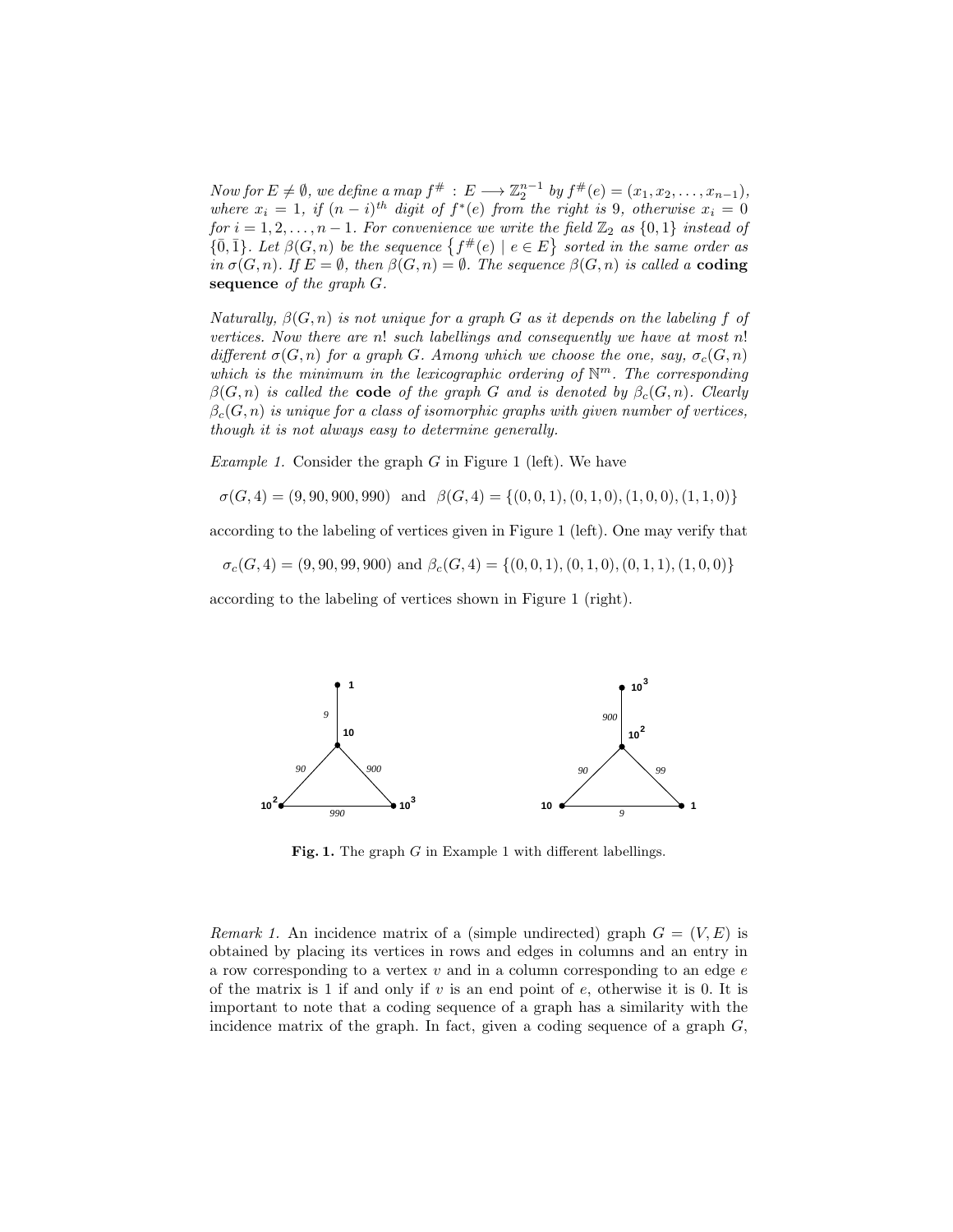Now for  $E \neq \emptyset$ , we define a map  $f^{\#}: E \longrightarrow \mathbb{Z}_2^{n-1}$  by  $f^{\#}(e) = (x_1, x_2, \ldots, x_{n-1}),$ where  $x_i = 1$ , if  $(n - i)^{th}$  digit of  $f^*(e)$  from the right is 9, otherwise  $x_i = 0$ for  $i = 1, 2, ..., n - 1$ . For convenience we write the field  $\mathbb{Z}_2$  as  $\{0, 1\}$  instead of  $\{0,\overline{1}\}\$ . Let  $\beta(G,n)$  be the sequence  $\{f^{\#}(e) \mid e \in E\}$  sorted in the same order as in  $\sigma(G, n)$ . If  $E = \emptyset$ , then  $\beta(G, n) = \emptyset$ . The sequence  $\beta(G, n)$  is called a **coding** sequence of the graph  $G$ .

Naturally,  $\beta(G, n)$  is not unique for a graph G as it depends on the labeling f of vertices. Now there are n! such labellings and consequently we have at most n! different  $\sigma(G, n)$  for a graph G. Among which we choose the one, say,  $\sigma_c(G, n)$ which is the minimum in the lexicographic ordering of  $\mathbb{N}^m$ . The corresponding  $\beta(G, n)$  is called the **code** of the graph G and is denoted by  $\beta_c(G, n)$ . Clearly  $\beta_c(G, n)$  is unique for a class of isomorphic graphs with given number of vertices, though it is not always easy to determine generally.

*Example 1.* Consider the graph  $G$  in Figure 1 (left). We have

 $\sigma(G, 4) = (9, 90, 900, 990)$  and  $\beta(G, 4) = \{(0, 0, 1), (0, 1, 0), (1, 0, 0), (1, 1, 0)\}\$ 

according to the labeling of vertices given in Figure 1 (left). One may verify that

 $\sigma_c(G, 4) = (9, 90, 99, 900)$  and  $\beta_c(G, 4) = \{(0, 0, 1), (0, 1, 0), (0, 1, 1), (1, 0, 0)\}\$ 

according to the labeling of vertices shown in Figure 1 (right).



Fig. 1. The graph G in Example 1 with different labellings.

Remark 1. An incidence matrix of a (simple undirected) graph  $G = (V, E)$  is obtained by placing its vertices in rows and edges in columns and an entry in a row corresponding to a vertex  $v$  and in a column corresponding to an edge  $e$ of the matrix is 1 if and only if  $v$  is an end point of  $e$ , otherwise it is 0. It is important to note that a coding sequence of a graph has a similarity with the incidence matrix of the graph. In fact, given a coding sequence of a graph  $G$ ,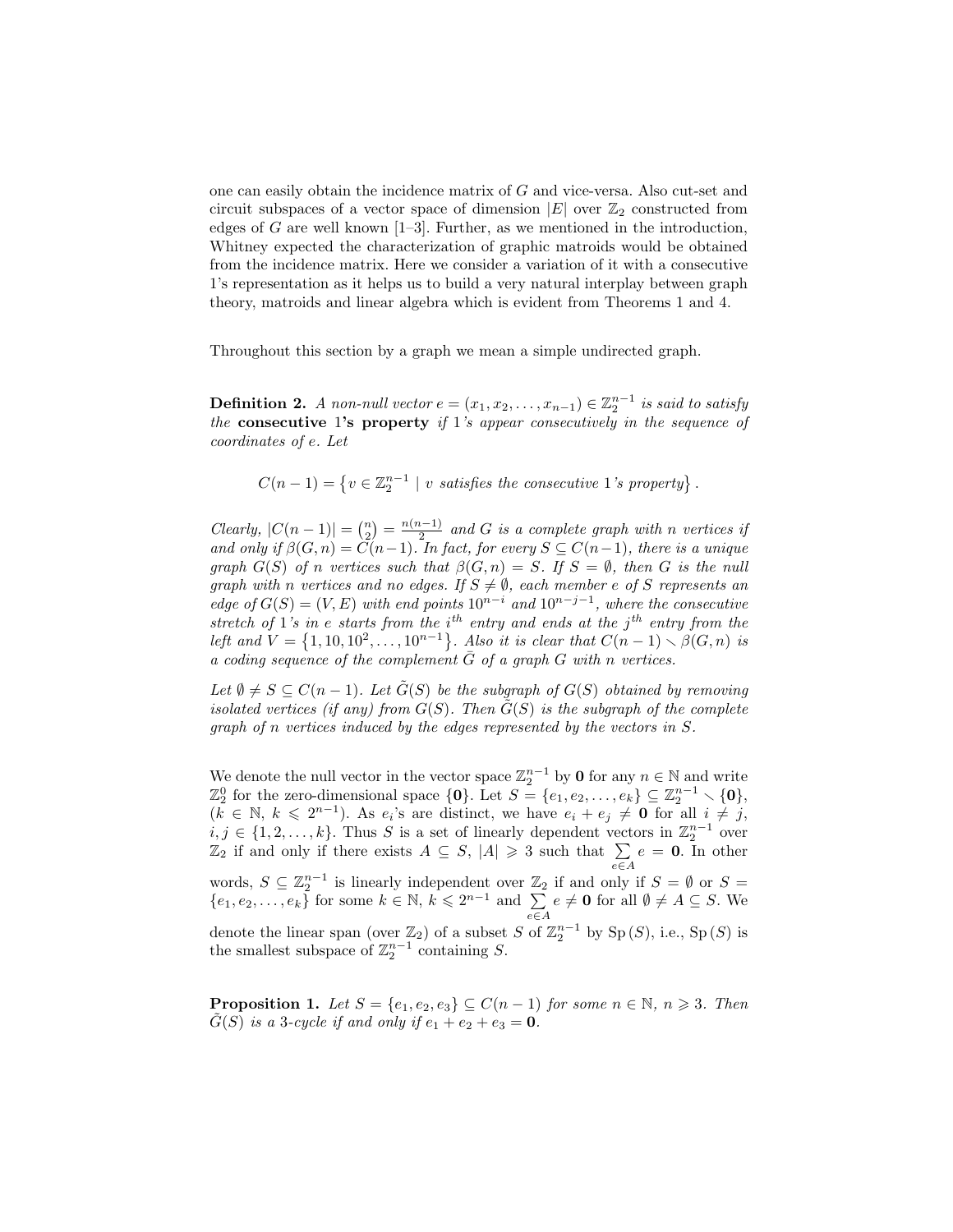one can easily obtain the incidence matrix of G and vice-versa. Also cut-set and circuit subspaces of a vector space of dimension  $|E|$  over  $\mathbb{Z}_2$  constructed from edges of  $G$  are well known  $[1-3]$ . Further, as we mentioned in the introduction, Whitney expected the characterization of graphic matroids would be obtained from the incidence matrix. Here we consider a variation of it with a consecutive 1's representation as it helps us to build a very natural interplay between graph theory, matroids and linear algebra which is evident from Theorems 1 and 4.

Throughout this section by a graph we mean a simple undirected graph.

**Definition 2.** A non-null vector  $e = (x_1, x_2, \ldots, x_{n-1}) \in \mathbb{Z}_2^{n-1}$  is said to satisfy the consecutive 1's property if 1's appear consecutively in the sequence of coordinates of e. Let

 $C(n-1) = \{v \in \mathbb{Z}_2^{n-1} \mid v \text{ satisfies the consecutive 1's property}\}.$ 

Clearly,  $|C(n-1)| = {n \choose 2} = \frac{n(n-1)}{2}$  $\frac{a^{n-1}}{2}$  and G is a complete graph with n vertices if and only if  $\beta(G, n) = C(n-1)$ . In fact, for every  $S \subseteq C(n-1)$ , there is a unique graph  $G(S)$  of n vertices such that  $\beta(G, n) = S$ . If  $S = \emptyset$ , then G is the null graph with n vertices and no edges. If  $S \neq \emptyset$ , each member e of S represents an edge of  $G(S) = (V, E)$  with end points  $10^{n-i}$  and  $10^{n-j-1}$ , where the consecutive stretch of 1's in e starts from the  $i<sup>th</sup>$  entry and ends at the  $j<sup>th</sup>$  entry from the left and  $V = \{1, 10, 10^2, ..., 10^{n-1}\}\$ . Also it is clear that  $C(n-1) \setminus \beta(G, n)$  is a coding sequence of the complement  $\bar{G}$  of a graph G with n vertices.

Let  $\emptyset \neq S \subseteq C(n-1)$ . Let  $G(S)$  be the subgraph of  $G(S)$  obtained by removing isolated vertices (if any) from  $G(S)$ . Then  $\tilde{G}(S)$  is the subgraph of the complete graph of n vertices induced by the edges represented by the vectors in S.

We denote the null vector in the vector space  $\mathbb{Z}_2^{n-1}$  by **0** for any  $n \in \mathbb{N}$  and write  $\mathbb{Z}_2^0$  for the zero-dimensional space  $\{0\}$ . Let  $S = \{e_1, e_2, \ldots, e_k\} \subseteq \mathbb{Z}_2^{n-1} \setminus \{0\}$ ,  $\mathbb{Z}_2$  for the zero-dimensional space  $\{0\}$ . Let  $S = \{e_1, e_2, \ldots, e_k\} \subseteq \mathbb{Z}_2 \setminus \{0\}$ ,<br>  $(k \in \mathbb{N}, k \leq 2^{n-1})$ . As  $e_i$ 's are distinct, we have  $e_i + e_j \neq \mathbf{0}$  for all  $i \neq j$ ,  $i, j \in \{1, 2, ..., k\}$ . Thus S is a set of linearly dependent vectors in  $\mathbb{Z}_2^{n-1}$  over  $\mathbb{Z}_2$  if and only if there exists  $A \subseteq S$ ,  $|A| \geq 3$  such that  $\sum_{e \in A}$  $e = 0$ . In other words,  $S \subseteq \mathbb{Z}_2^{n-1}$  is linearly independent over  $\mathbb{Z}_2$  if and only if  $S = \emptyset$  or  $S =$  $\{e_1, e_2, \ldots, e_k\}$  for some  $k \in \mathbb{N}, k \leq 2^{n-1}$  and  $\sum$ e∈A  $e \neq \mathbf{0}$  for all  $\emptyset \neq A \subseteq S$ . We denote the linear span (over  $\mathbb{Z}_2$ ) of a subset S of  $\mathbb{Z}_2^{n-1}$  by Sp $(S)$ , i.e., Sp $(S)$  is the smallest subspace of  $\mathbb{Z}_2^{n-1}$  containing S.

**Proposition 1.** Let  $S = \{e_1, e_2, e_3\} \subseteq C(n-1)$  for some  $n \in \mathbb{N}$ ,  $n \ge 3$ . Then  $G(S)$  is a 3-cycle if and only if  $e_1 + e_2 + e_3 = 0$ .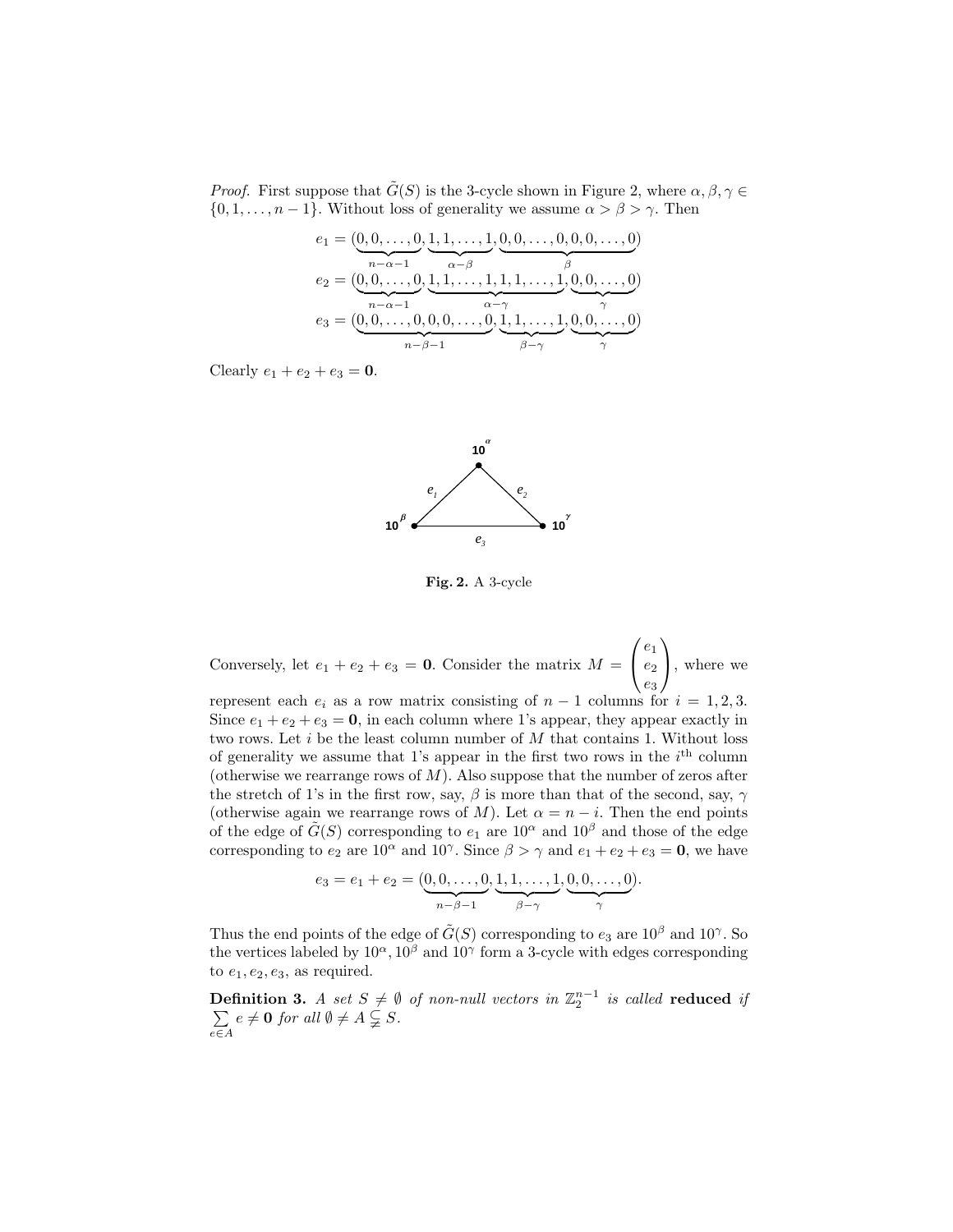*Proof.* First suppose that  $\tilde{G}(S)$  is the 3-cycle shown in Figure 2, where  $\alpha, \beta, \gamma \in$  $\{0, 1, \ldots, n-1\}$ . Without loss of generality we assume  $\alpha > \beta > \gamma$ . Then

$$
e_1 = (\underbrace{0, 0, \dots, 0}_{n-\alpha-1}, \underbrace{1, 1, \dots, 1}_{\alpha-\beta}, \underbrace{0, 0, \dots, 0, 0, 0, \dots, 0}_{\beta})
$$
  
\n
$$
e_2 = (\underbrace{0, 0, \dots, 0}_{n-\alpha-1}, \underbrace{1, 1, \dots, 1, 1, 1, \dots, 1}_{\alpha-\gamma}, \underbrace{0, 0, \dots, 0}_{\gamma})
$$
  
\n
$$
e_3 = (\underbrace{0, 0, \dots, 0}_{n-\beta-1}, \underbrace{0, 1, 1, \dots, 1}_{\beta-\gamma}, \underbrace{0, 0, \dots, 0}_{\gamma})
$$

Clearly  $e_1 + e_2 + e_3 = 0$ .



Fig. 2. A 3-cycle

Conversely, let  $e_1 + e_2 + e_3 = 0$ . Consider the matrix  $M =$  $\sqrt{ }$  $\mathcal{L}$  $e_1$  $e_2$ e3  $\setminus$ , where we

represent each  $e_i$  as a row matrix consisting of  $n-1$  columns for  $i = 1, 2, 3$ . Since  $e_1 + e_2 + e_3 = 0$ , in each column where 1's appear, they appear exactly in two rows. Let  $i$  be the least column number of  $M$  that contains 1. Without loss of generality we assume that 1's appear in the first two rows in the  $i<sup>th</sup>$  column (otherwise we rearrange rows of  $M$ ). Also suppose that the number of zeros after the stretch of 1's in the first row, say,  $\beta$  is more than that of the second, say,  $\gamma$ (otherwise again we rearrange rows of M). Let  $\alpha = n - i$ . Then the end points of the edge of  $\tilde{G}(S)$  corresponding to  $e_1$  are  $10^{\alpha}$  and  $10^{\beta}$  and those of the edge corresponding to  $e_2$  are  $10^{\alpha}$  and  $10^{\gamma}$ . Since  $\beta > \gamma$  and  $e_1 + e_2 + e_3 = 0$ , we have

$$
e_3 = e_1 + e_2 = (\underbrace{0, 0, \dots, 0}_{n-\beta-1}, \underbrace{1, 1, \dots, 1}_{\beta-\gamma}, \underbrace{0, 0, \dots, 0}_{\gamma}).
$$

Thus the end points of the edge of  $\tilde{G}(S)$  corresponding to  $e_3$  are  $10^{\beta}$  and  $10^{\gamma}$ . So the vertices labeled by  $10^{\alpha}$ ,  $10^{\beta}$  and  $10^{\gamma}$  form a 3-cycle with edges corresponding to  $e_1, e_2, e_3$ , as required.

**Definition 3.** A set  $S \neq \emptyset$  of non-null vectors in  $\mathbb{Z}_2^{n-1}$ <br>  $\sum e \neq 0$  for all  $\emptyset \neq A \subsetneq S$ . is called reduced if e∈A  $e \neq \mathbf{0}$  for all  $\emptyset \neq A \subsetneq S$ .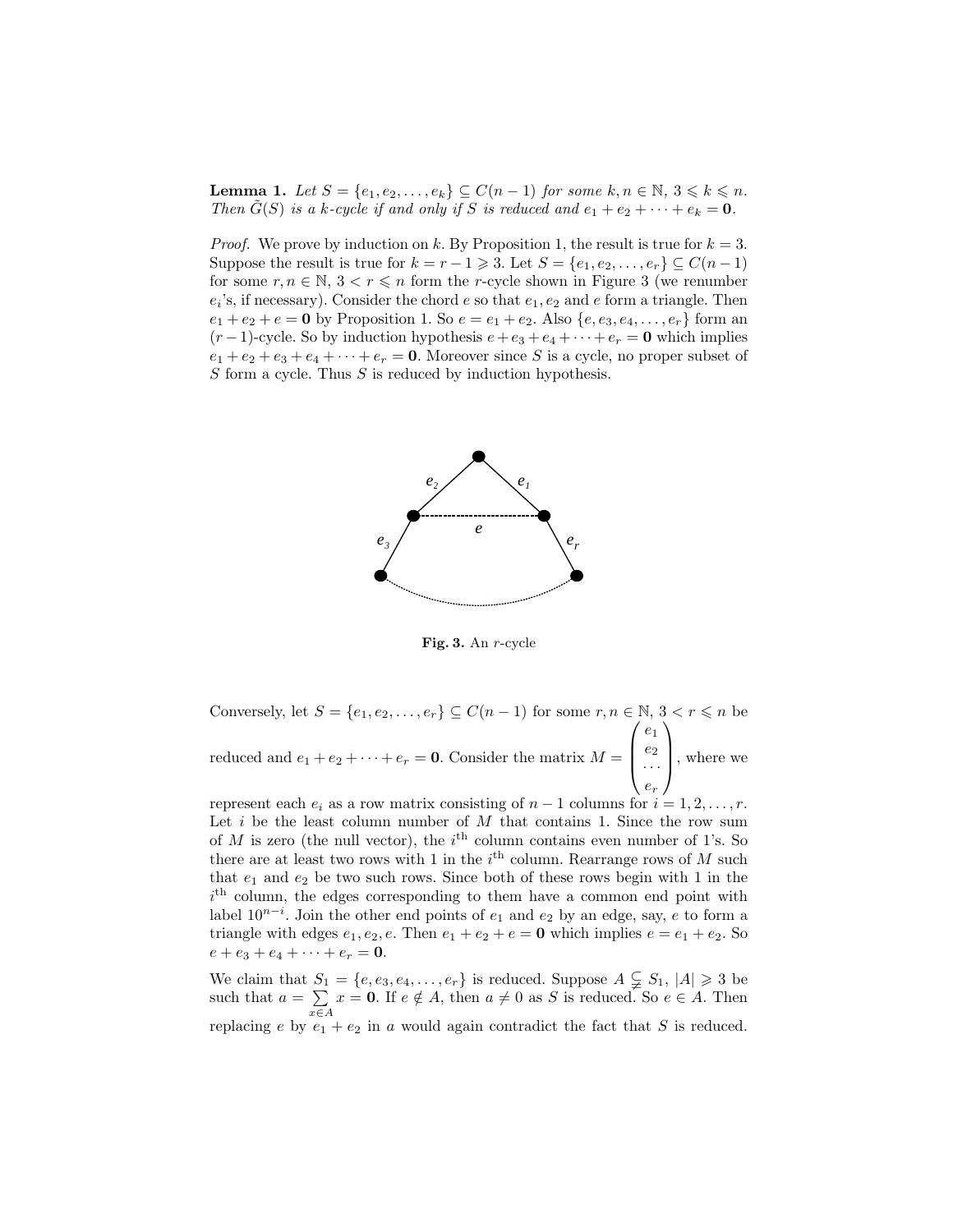**Lemma 1.** Let  $S = \{e_1, e_2, \ldots, e_k\} \subseteq C(n-1)$  for some  $k, n \in \mathbb{N}, 3 \leq k \leq n$ . Then  $G(S)$  is a k-cycle if and only if S is reduced and  $e_1 + e_2 + \cdots + e_k = 0$ .

*Proof.* We prove by induction on k. By Proposition 1, the result is true for  $k = 3$ . Suppose the result is true for  $k = r - 1 \geq 3$ . Let  $S = \{e_1, e_2, \ldots, e_r\} \subseteq C(n - 1)$ for some  $r, n \in \mathbb{N}, 3 < r \leq n$  form the r-cycle shown in Figure 3 (we renumber  $e_i$ 's, if necessary). Consider the chord  $e$  so that  $e_1, e_2$  and  $e$  form a triangle. Then  $e_1 + e_2 + e = 0$  by Proposition 1. So  $e = e_1 + e_2$ . Also  $\{e, e_3, e_4, \ldots, e_r\}$  form an  $(r-1)$ -cycle. So by induction hypothesis  $e+e_3+e_4+\cdots+e_r = 0$  which implies  $e_1 + e_2 + e_3 + e_4 + \cdots + e_r = 0$ . Moreover since S is a cycle, no proper subset of  $S$  form a cycle. Thus  $S$  is reduced by induction hypothesis.



Fig. 3. An r-cycle

Conversely, let  $S = \{e_1, e_2, \ldots, e_r\} \subseteq C(n-1)$  for some  $r, n \in \mathbb{N}, 3 < r \leq n$  be reduced and  $e_1 + e_2 + \cdots + e_r = 0$ . Consider the matrix  $M =$  $\sqrt{ }$  $\overline{\phantom{a}}$  $e_1$  $e_2$ · · ·  $e_r$  $\setminus$ , where we

represent each  $e_i$  as a row matrix consisting of  $n-1$  columns for  $i=1,2,\ldots,r$ . Let  $i$  be the least column number of  $M$  that contains 1. Since the row sum of  $M$  is zero (the null vector), the  $i<sup>th</sup>$  column contains even number of 1's. So there are at least two rows with 1 in the  $i<sup>th</sup>$  column. Rearrange rows of M such that  $e_1$  and  $e_2$  be two such rows. Since both of these rows begin with 1 in the  $i<sup>th</sup>$  column, the edges corresponding to them have a common end point with label  $10^{n-i}$ . Join the other end points of  $e_1$  and  $e_2$  by an edge, say, e to form a triangle with edges  $e_1, e_2, e$ . Then  $e_1 + e_2 + e = 0$  which implies  $e = e_1 + e_2$ . So  $e + e_3 + e_4 + \cdots + e_r = \mathbf{0}.$ 

We claim that  $S_1 = \{e, e_3, e_4, \ldots, e_r\}$  is reduced. Suppose  $A \subsetneq S_1$ ,  $|A| \geq 3$  be such that  $a = \sum$ x∈A  $x = 0$ . If  $e \notin A$ , then  $a \neq 0$  as S is reduced. So  $e \in A$ . Then replacing e by  $e_1 + e_2$  in a would again contradict the fact that S is reduced.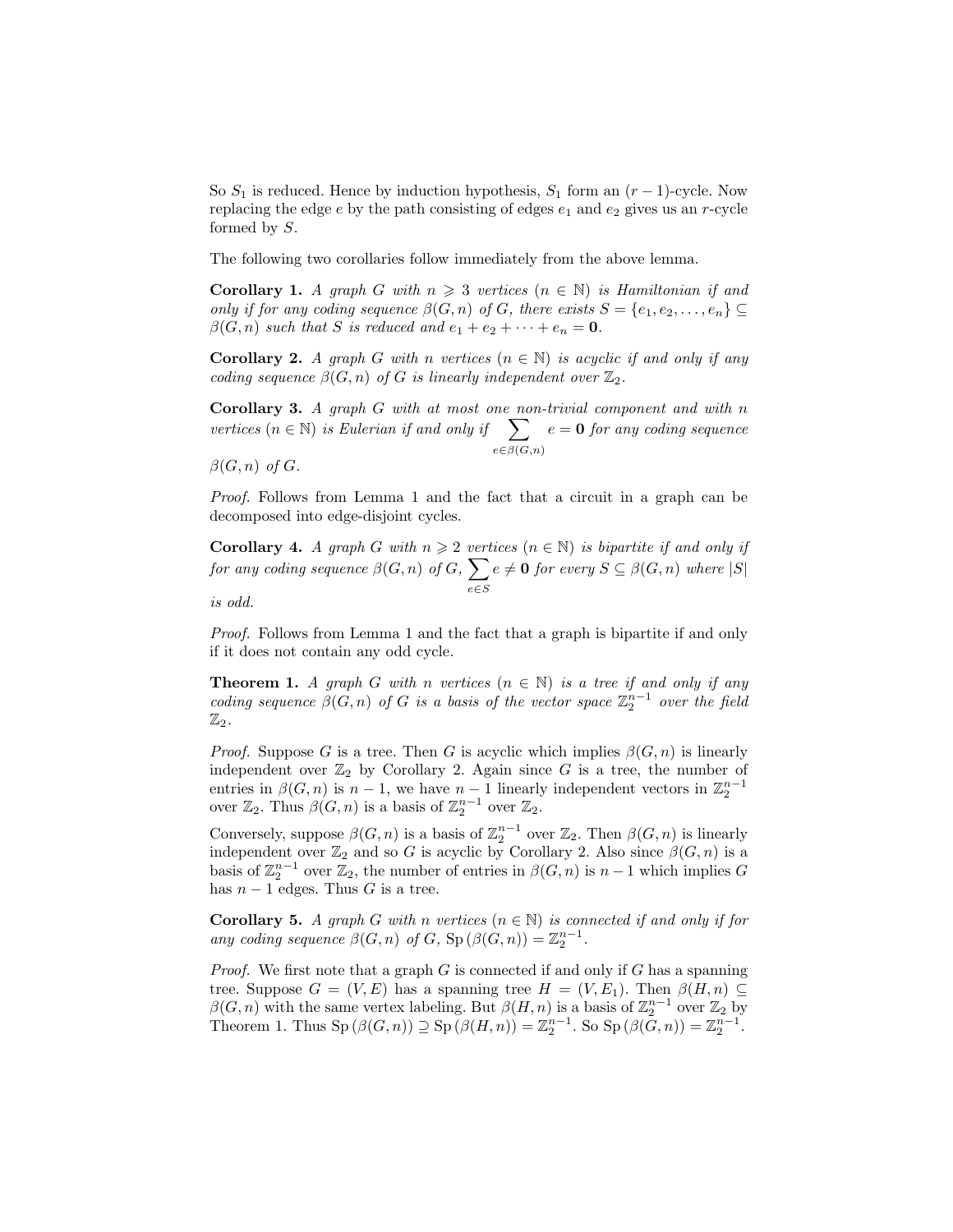So  $S_1$  is reduced. Hence by induction hypothesis,  $S_1$  form an  $(r-1)$ -cycle. Now replacing the edge  $e$  by the path consisting of edges  $e_1$  and  $e_2$  gives us an r-cycle formed by S.

The following two corollaries follow immediately from the above lemma.

**Corollary 1.** A graph G with  $n \geq 3$  vertices  $(n \in \mathbb{N})$  is Hamiltonian if and only if for any coding sequence  $\beta(G, n)$  of G, there exists  $S = \{e_1, e_2, \ldots, e_n\} \subseteq$  $\beta(G, n)$  such that S is reduced and  $e_1 + e_2 + \cdots + e_n = 0$ .

**Corollary 2.** A graph G with n vertices  $(n \in \mathbb{N})$  is acyclic if and only if any coding sequence  $\beta(G, n)$  of G is linearly independent over  $\mathbb{Z}_2$ .

Corollary 3. A graph G with at most one non-trivial component and with n vertices ( $n \in \mathbb{N}$ ) is Eulerian if and only if  $\sum$  $e\in \beta(G,n)$  $e = 0$  for any coding sequence

 $\beta(G, n)$  of  $G$ .

Proof. Follows from Lemma 1 and the fact that a circuit in a graph can be decomposed into edge-disjoint cycles.

Corollary 4. A graph G with  $n \geq 2$  vertices  $(n \in \mathbb{N})$  is bipartite if and only if for any coding sequence  $\beta(G, n)$  of  $G, \sum$ e∈S  $e \neq \mathbf{0}$  for every  $S \subseteq \beta(G, n)$  where  $|S|$ 

is odd.

Proof. Follows from Lemma 1 and the fact that a graph is bipartite if and only if it does not contain any odd cycle.

**Theorem 1.** A graph G with n vertices  $(n \in \mathbb{N})$  is a tree if and only if any coding sequence  $\beta(G,n)$  of G is a basis of the vector space  $\mathbb{Z}_2^{n-1}$  over the field  $\mathbb{Z}_2.$ 

*Proof.* Suppose G is a tree. Then G is acyclic which implies  $\beta(G, n)$  is linearly independent over  $\mathbb{Z}_2$  by Corollary 2. Again since G is a tree, the number of entries in  $\beta(G, n)$  is  $n - 1$ , we have  $n - 1$  linearly independent vectors in  $\mathbb{Z}_2^{n-1}$ over  $\mathbb{Z}_2$ . Thus  $\beta(G, n)$  is a basis of  $\mathbb{Z}_2^{n-1}$  over  $\mathbb{Z}_2$ .

Conversely, suppose  $\beta(G, n)$  is a basis of  $\mathbb{Z}_2^{n-1}$  over  $\mathbb{Z}_2$ . Then  $\beta(G, n)$  is linearly independent over  $\mathbb{Z}_2$  and so G is acyclic by Corollary 2. Also since  $\beta(G, n)$  is a basis of  $\mathbb{Z}_2^{n-1}$  over  $\mathbb{Z}_2$ , the number of entries in  $\beta(G, n)$  is  $n-1$  which implies G has  $n - 1$  edges. Thus G is a tree.

**Corollary 5.** A graph G with n vertices  $(n \in \mathbb{N})$  is connected if and only if for any coding sequence  $\beta(G, n)$  of G,  $\text{Sp}(\beta(G, n)) = \mathbb{Z}_2^{n-1}$ .

*Proof.* We first note that a graph  $G$  is connected if and only if  $G$  has a spanning tree. Suppose  $G = (V, E)$  has a spanning tree  $H = (V, E_1)$ . Then  $\beta(H, n) \subseteq$  $\beta(G, n)$  with the same vertex labeling. But  $\beta(H, n)$  is a basis of  $\mathbb{Z}_2^{n-1}$  over  $\mathbb{Z}_2$  by Theorem 1. Thus  $\text{Sp}(\beta(G,n)) \supseteq \text{Sp}(\beta(H,n)) = \mathbb{Z}_2^{n-1}$ . So  $\text{Sp}(\beta(\bar{G},n)) = \mathbb{Z}_2^{n-1}$ .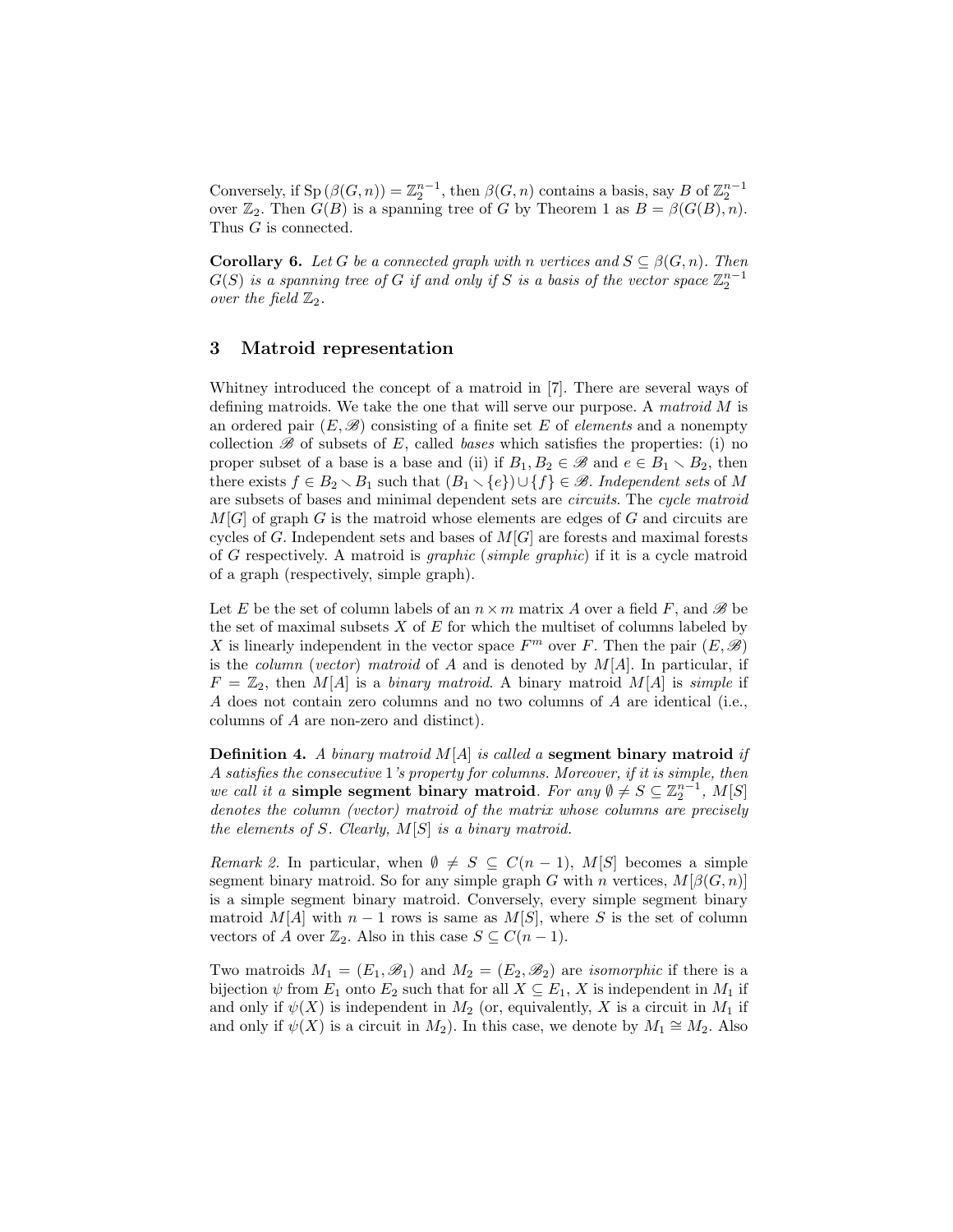Conversely, if  $\text{Sp}(\beta(G,n)) = \mathbb{Z}_2^{n-1}$ , then  $\beta(G,n)$  contains a basis, say B of  $\mathbb{Z}_2^{n-1}$ over  $\mathbb{Z}_2$ . Then  $G(B)$  is a spanning tree of G by Theorem 1 as  $B = \beta(G(B), n)$ . Thus *G* is connected.

**Corollary 6.** Let G be a connected graph with n vertices and  $S \subseteq \beta(G, n)$ . Then  $G(S)$  is a spanning tree of  $G$  if and only if  $S$  is a basis of the vector space  $\mathbb{Z}_2^{n-1}$ over the field  $\mathbb{Z}_2$ .

#### 3 Matroid representation

Whitney introduced the concept of a matroid in [7]. There are several ways of defining matroids. We take the one that will serve our purpose. A matroid  $M$  is an ordered pair  $(E, \mathscr{B})$  consisting of a finite set E of *elements* and a nonempty collection  $\mathscr B$  of subsets of E, called bases which satisfies the properties: (i) no proper subset of a base is a base and (ii) if  $B_1, B_2 \in \mathscr{B}$  and  $e \in B_1 \setminus B_2$ , then there exists  $f \in B_2 \setminus B_1$  such that  $(B_1 \setminus \{e\}) \cup \{f\} \in \mathscr{B}$ . Independent sets of M are subsets of bases and minimal dependent sets are circuits. The cycle matroid  $M[G]$  of graph G is the matroid whose elements are edges of G and circuits are cycles of G. Independent sets and bases of  $M[G]$  are forests and maximal forests of G respectively. A matroid is graphic (simple graphic) if it is a cycle matroid of a graph (respectively, simple graph).

Let E be the set of column labels of an  $n \times m$  matrix A over a field F, and B be the set of maximal subsets  $X$  of  $E$  for which the multiset of columns labeled by X is linearly independent in the vector space  $F^m$  over F. Then the pair  $(E, \mathscr{B})$ is the *column (vector)* matroid of A and is denoted by  $M[A]$ . In particular, if  $F = \mathbb{Z}_2$ , then M[A] is a binary matroid. A binary matroid M[A] is simple if A does not contain zero columns and no two columns of A are identical (i.e., columns of A are non-zero and distinct).

**Definition 4.** A binary matroid  $M[A]$  is called a segment binary matroid if A satisfies the consecutive 1's property for columns. Moreover, if it is simple, then we call it a simple segment binary matroid. For any  $\emptyset \neq S \subseteq \mathbb{Z}_2^{n-1}$ ,  $M[S]$ denotes the column (vector) matroid of the matrix whose columns are precisely the elements of S. Clearly,  $M[S]$  is a binary matroid.

Remark 2. In particular, when  $\emptyset \neq S \subseteq C(n-1)$ , M[S] becomes a simple segment binary matroid. So for any simple graph G with n vertices,  $M[\beta(G, n)]$ is a simple segment binary matroid. Conversely, every simple segment binary matroid M[A] with  $n-1$  rows is same as M[S], where S is the set of column vectors of A over  $\mathbb{Z}_2$ . Also in this case  $S \subseteq C(n-1)$ .

Two matroids  $M_1 = (E_1, \mathcal{B}_1)$  and  $M_2 = (E_2, \mathcal{B}_2)$  are *isomorphic* if there is a bijection  $\psi$  from  $E_1$  onto  $E_2$  such that for all  $X \subseteq E_1$ , X is independent in  $M_1$  if and only if  $\psi(X)$  is independent in  $M_2$  (or, equivalently, X is a circuit in  $M_1$  if and only if  $\psi(X)$  is a circuit in  $M_2$ ). In this case, we denote by  $M_1 \cong M_2$ . Also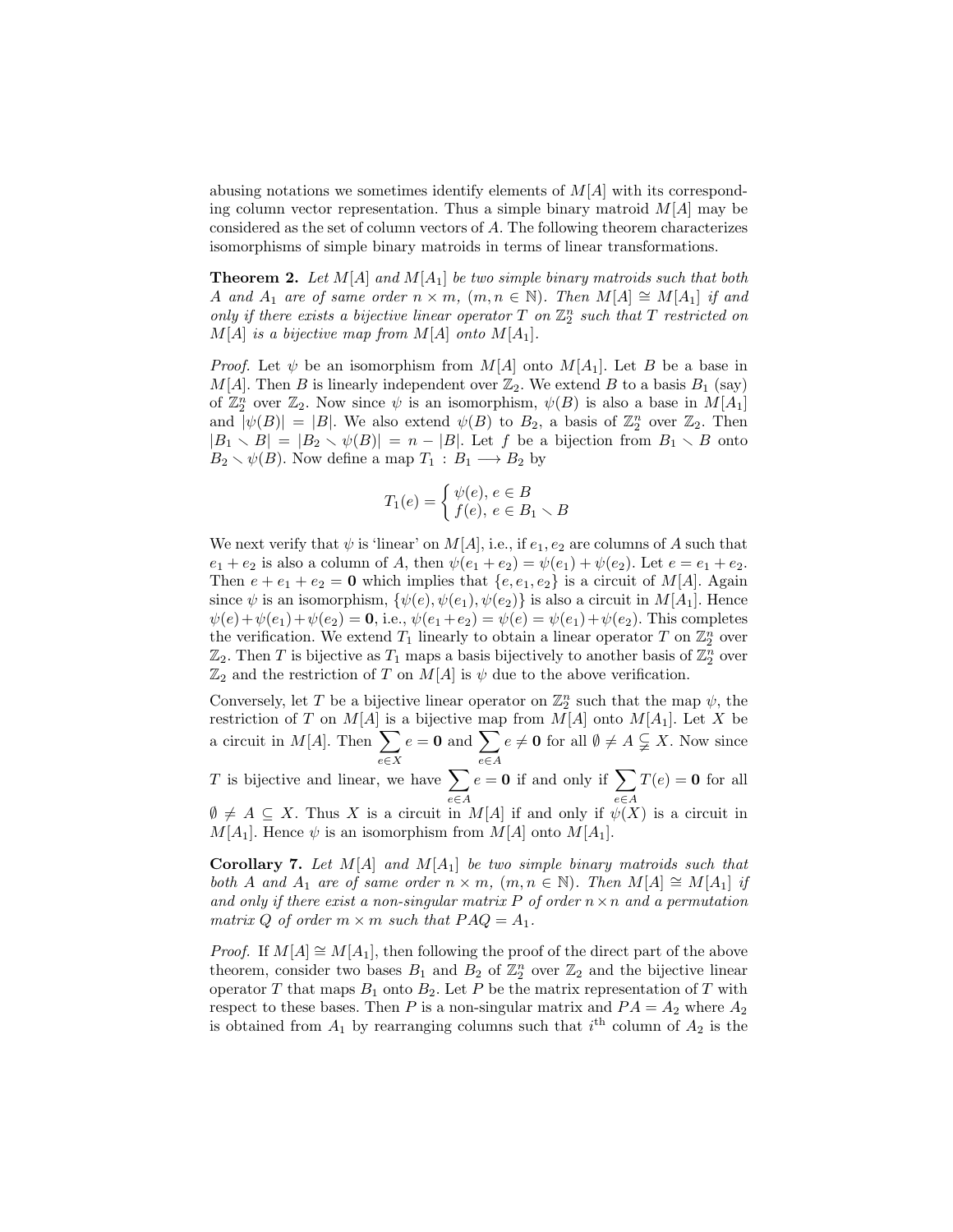abusing notations we sometimes identify elements of  $M[A]$  with its corresponding column vector representation. Thus a simple binary matroid  $M[A]$  may be considered as the set of column vectors of A. The following theorem characterizes isomorphisms of simple binary matroids in terms of linear transformations.

**Theorem 2.** Let  $M[A]$  and  $M[A_1]$  be two simple binary matroids such that both A and  $A_1$  are of same order  $n \times m$ ,  $(m, n \in \mathbb{N})$ . Then  $M[A] \cong M[A_1]$  if and only if there exists a bijective linear operator  $T$  on  $\mathbb{Z}_2^n$  such that  $T$  restricted on  $M[A]$  is a bijective map from  $M[A]$  onto  $M[A_1]$ .

*Proof.* Let  $\psi$  be an isomorphism from  $M[A]$  onto  $M[A_1]$ . Let B be a base in  $M[A]$ . Then B is linearly independent over  $\mathbb{Z}_2$ . We extend B to a basis  $B_1$  (say) of  $\mathbb{Z}_2^n$  over  $\mathbb{Z}_2$ . Now since  $\psi$  is an isomorphism,  $\psi(B)$  is also a base in  $M[A_1]$ and  $|\psi(B)| = |B|$ . We also extend  $\psi(B)$  to  $B_2$ , a basis of  $\mathbb{Z}_2^n$  over  $\mathbb{Z}_2$ . Then  $|B_1 \setminus B| = |B_2 \setminus \psi(B)| = n - |B|$ . Let f be a bijection from  $B_1 \setminus B$  onto  $B_2 \setminus \psi(B)$ . Now define a map  $T_1 : B_1 \longrightarrow B_2$  by

$$
T_1(e) = \begin{cases} \psi(e), \, e \in B \\ f(e), \, e \in B_1 \smallsetminus B \end{cases}
$$

We next verify that  $\psi$  is 'linear' on  $M[A]$ , i.e., if  $e_1, e_2$  are columns of A such that  $e_1 + e_2$  is also a column of A, then  $\psi(e_1 + e_2) = \psi(e_1) + \psi(e_2)$ . Let  $e = e_1 + e_2$ . Then  $e + e_1 + e_2 = 0$  which implies that  $\{e, e_1, e_2\}$  is a circuit of M[A]. Again since  $\psi$  is an isomorphism,  $\{\psi(e), \psi(e_1), \psi(e_2)\}$  is also a circuit in  $M[A_1]$ . Hence  $\psi(e) + \psi(e_1) + \psi(e_2) = 0$ , i.e.,  $\psi(e_1 + e_2) = \psi(e) = \psi(e_1) + \psi(e_2)$ . This completes the verification. We extend  $T_1$  linearly to obtain a linear operator T on  $\mathbb{Z}_2^n$  over  $\mathbb{Z}_2$ . Then T is bijective as  $T_1$  maps a basis bijectively to another basis of  $\mathbb{Z}_2^n$  over  $\mathbb{Z}_2$  and the restriction of T on  $M[A]$  is  $\psi$  due to the above verification.

Conversely, let T be a bijective linear operator on  $\mathbb{Z}_2^n$  such that the map  $\psi$ , the restriction of T on  $M[A]$  is a bijective map from  $M[A]$  onto  $M[A_1]$ . Let X be a circuit in  $M[A]$ . Then  $\sum$ e∈X  $e = 0$  and  $\sum$ e∈A  $e \neq \mathbf{0}$  for all  $\emptyset \neq A \subsetneq X$ . Now since

T is bijective and linear, we have  $\sum$ e∈A  $e = 0$  if and only if  $\Sigma$ e∈A  $T(e) = 0$  for all  $\emptyset \neq A \subseteq X$ . Thus X is a circuit in M[A] if and only if  $\psi(X)$  is a circuit in  $M[A_1]$ . Hence  $\psi$  is an isomorphism from  $M[A]$  onto  $M[A_1]$ .

**Corollary 7.** Let  $M[A]$  and  $M[A_1]$  be two simple binary matroids such that both A and  $A_1$  are of same order  $n \times m$ ,  $(m, n \in \mathbb{N})$ . Then  $M[A] \cong M[A_1]$  if and only if there exist a non-singular matrix P of order  $n \times n$  and a permutation matrix Q of order  $m \times m$  such that  $PAQ = A_1$ .

*Proof.* If  $M[A] \cong M[A_1]$ , then following the proof of the direct part of the above theorem, consider two bases  $B_1$  and  $B_2$  of  $\mathbb{Z}_2^n$  over  $\mathbb{Z}_2$  and the bijective linear operator T that maps  $B_1$  onto  $B_2$ . Let P be the matrix representation of T with respect to these bases. Then P is a non-singular matrix and  $PA = A_2$  where  $A_2$ is obtained from  $A_1$  by rearranging columns such that  $i<sup>th</sup>$  column of  $A_2$  is the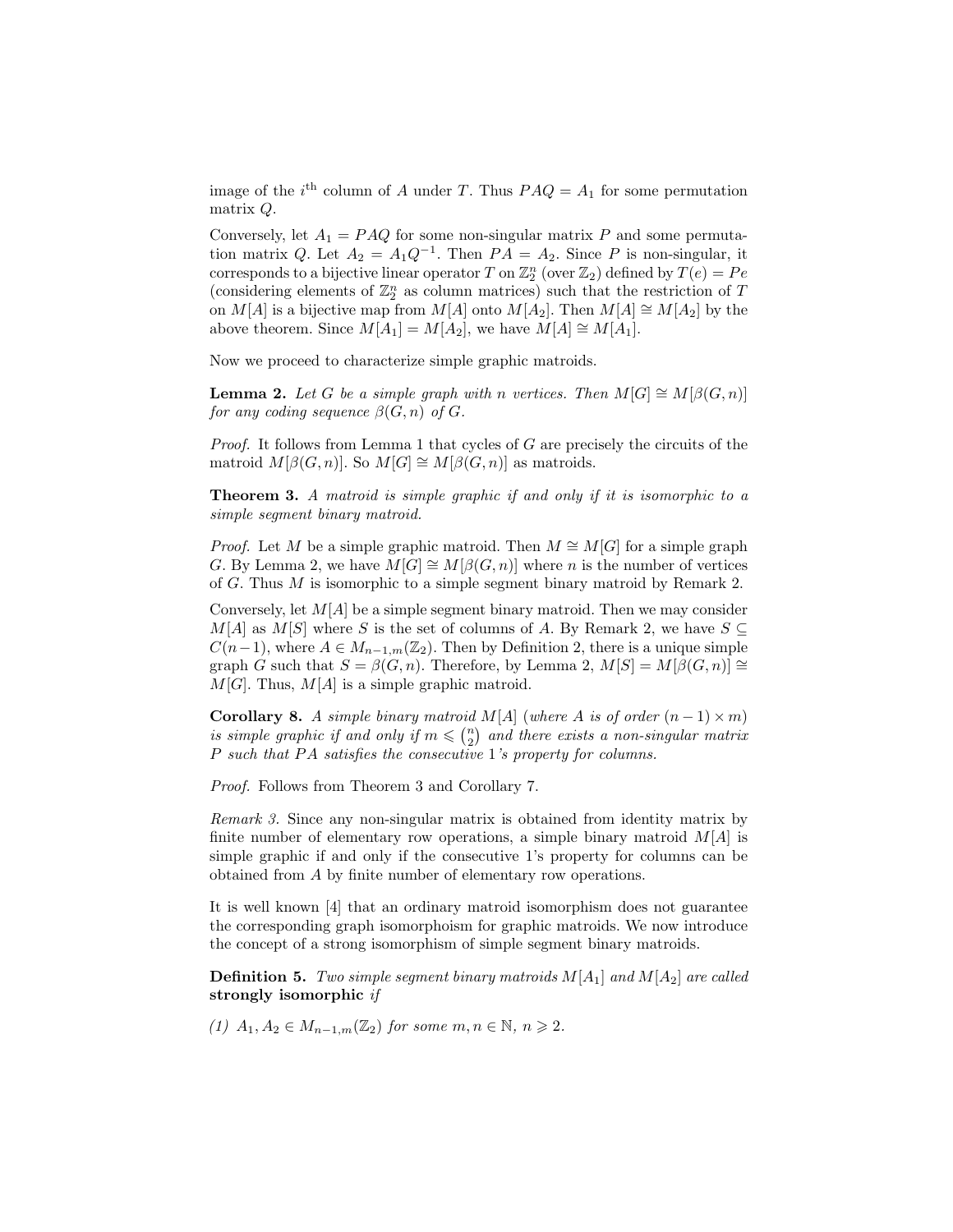image of the  $i<sup>th</sup>$  column of A under T. Thus  $PAQ = A<sub>1</sub>$  for some permutation matrix Q.

Conversely, let  $A_1 = PAQ$  for some non-singular matrix P and some permutation matrix Q. Let  $A_2 = A_1 Q^{-1}$ . Then  $PA = A_2$ . Since P is non-singular, it corresponds to a bijective linear operator T on  $\mathbb{Z}_2^n$  (over  $\mathbb{Z}_2$ ) defined by  $T(e) = Pe$ (considering elements of  $\mathbb{Z}_2^n$  as column matrices) such that the restriction of T on M[A] is a bijective map from M[A] onto M[A<sub>2</sub>]. Then M[A]  $\cong M[A_2]$  by the above theorem. Since  $M[A_1] = M[A_2]$ , we have  $M[A] \cong M[A_1]$ .

Now we proceed to characterize simple graphic matroids.

**Lemma 2.** Let G be a simple graph with n vertices. Then  $M[G] \cong M[\beta(G,n)]$ for any coding sequence  $\beta(G, n)$  of  $G$ .

Proof. It follows from Lemma 1 that cycles of G are precisely the circuits of the matroid  $M[\beta(G, n)]$ . So  $M[G] \cong M[\beta(G, n)]$  as matroids.

Theorem 3. A matroid is simple graphic if and only if it is isomorphic to a simple segment binary matroid.

*Proof.* Let M be a simple graphic matroid. Then  $M \cong M[G]$  for a simple graph G. By Lemma 2, we have  $M[G] \cong M[\beta(G, n)]$  where n is the number of vertices of G. Thus M is isomorphic to a simple segment binary matroid by Remark 2.

Conversely, let  $M[A]$  be a simple segment binary matroid. Then we may consider  $M[A]$  as  $M[S]$  where S is the set of columns of A. By Remark 2, we have  $S \subseteq$  $C(n-1)$ , where  $A \in M_{n-1,m}(\mathbb{Z}_2)$ . Then by Definition 2, there is a unique simple graph G such that  $S = \beta(G, n)$ . Therefore, by Lemma 2,  $M[S] = M[\beta(G, n)] \cong$  $M[G]$ . Thus,  $M[A]$  is a simple graphic matroid.

**Corollary 8.** A simple binary matroid M[A] (where A is of order  $(n-1) \times m$ ) is simple graphic if and only if  $m \leqslant \binom{n}{2}$  and there exists a non-singular matrix P such that  $PA$  satisfies the consecutive 1's property for columns.

Proof. Follows from Theorem 3 and Corollary 7.

Remark 3. Since any non-singular matrix is obtained from identity matrix by finite number of elementary row operations, a simple binary matroid  $M[A]$  is simple graphic if and only if the consecutive 1's property for columns can be obtained from A by finite number of elementary row operations.

It is well known [4] that an ordinary matroid isomorphism does not guarantee the corresponding graph isomorphoism for graphic matroids. We now introduce the concept of a strong isomorphism of simple segment binary matroids.

**Definition 5.** Two simple segment binary matroids  $M[A_1]$  and  $M[A_2]$  are called strongly isomorphic if

(1)  $A_1, A_2 \in M_{n-1,m}(\mathbb{Z}_2)$  for some  $m, n \in \mathbb{N}, n \geq 2$ .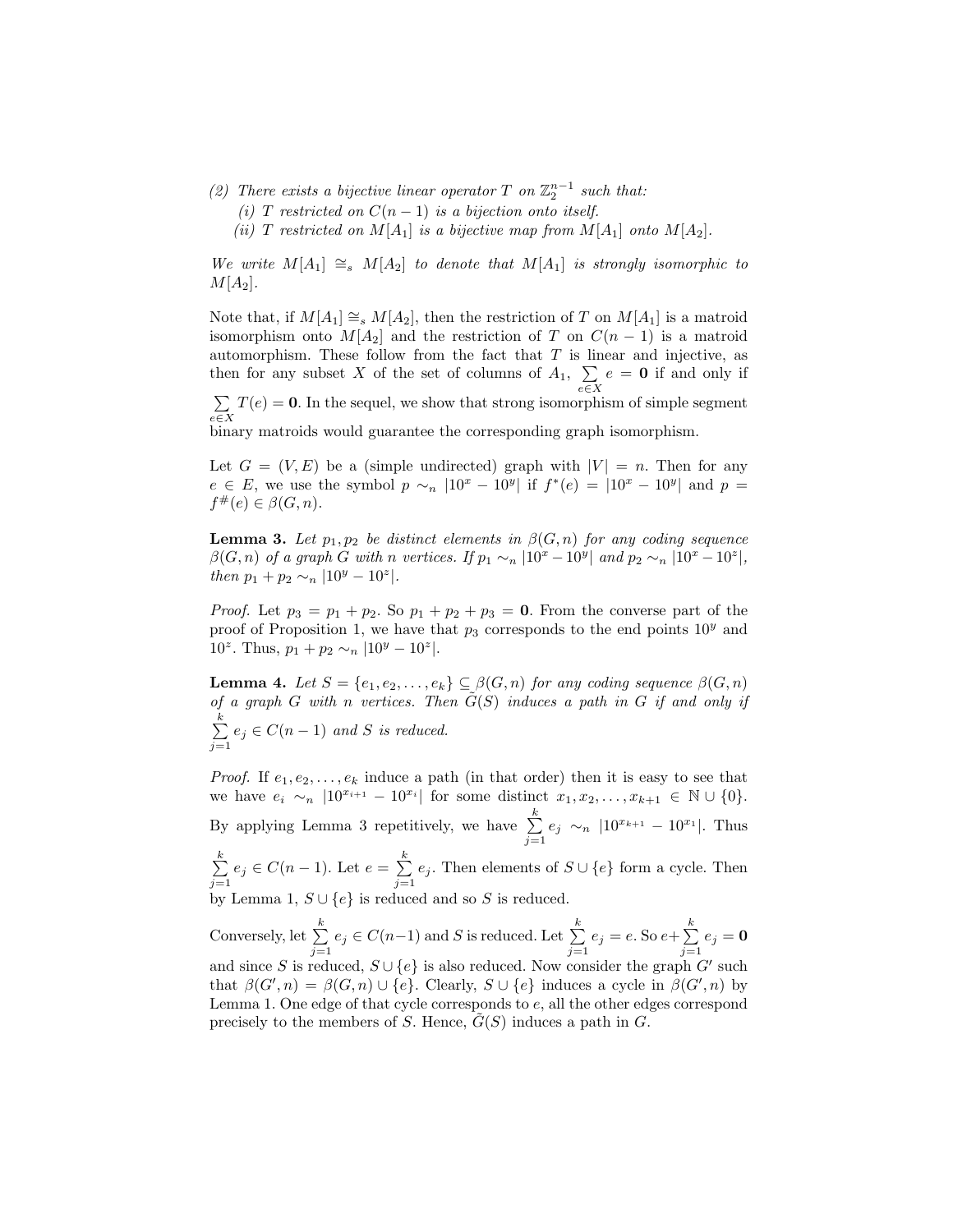- (2) There exists a bijective linear operator  $T$  on  $\mathbb{Z}_2^{n-1}$  such that:
	- (i) T restricted on  $C(n-1)$  is a bijection onto itself.
	- (ii) T restricted on  $M[A_1]$  is a bijective map from  $M[A_1]$  onto  $M[A_2]$ .

We write  $M[A_1] \cong_s M[A_2]$  to denote that  $M[A_1]$  is strongly isomorphic to  $M[A_2].$ 

Note that, if  $M[A_1] \cong_s M[A_2]$ , then the restriction of T on  $M[A_1]$  is a matroid isomorphism onto  $M[A_2]$  and the restriction of T on  $C(n-1)$  is a matroid automorphism. These follow from the fact that  $T$  is linear and injective, as then for any subset X of the set of columns of  $A_1, \Sigma$ e∈X  $e = 0$  if and only if

 $\sum$ e∈X  $T(e) = 0$ . In the sequel, we show that strong isomorphism of simple segment

binary matroids would guarantee the corresponding graph isomorphism.

Let  $G = (V, E)$  be a (simple undirected) graph with  $|V| = n$ . Then for any  $e \in E$ , we use the symbol  $p \sim_n |10^x - 10^y|$  if  $f^*(e) = |10^x - 10^y|$  and  $p =$  $f^{\#}(e) \in \beta(G, n).$ 

**Lemma 3.** Let  $p_1, p_2$  be distinct elements in  $\beta(G, n)$  for any coding sequence  $\beta(G,n)$  of a graph G with n vertices. If  $p_1 \sim_n |10^x - 10^y|$  and  $p_2 \sim_n |10^x - 10^z|$ , then  $p_1 + p_2 \sim_n |10^y - 10^z|$ .

*Proof.* Let  $p_3 = p_1 + p_2$ . So  $p_1 + p_2 + p_3 = 0$ . From the converse part of the proof of Proposition 1, we have that  $p_3$  corresponds to the end points  $10<sup>y</sup>$  and 10<sup>z</sup>. Thus,  $p_1 + p_2 \sim_n |10^y - 10^z|$ .

**Lemma 4.** Let  $S = \{e_1, e_2, \ldots, e_k\} \subseteq \beta(G, n)$  for any coding sequence  $\beta(G, n)$ of a graph G with n vertices. Then  $\tilde{G}(S)$  induces a path in G if and only if  $\sum_{i=1}^{k}$  $\sum_{j=1} e_j \in C(n-1)$  and S is reduced.

*Proof.* If  $e_1, e_2, \ldots, e_k$  induce a path (in that order) then it is easy to see that we have  $e_i \sim_n |10^{x_{i+1}} - 10^{x_i}|$  for some distinct  $x_1, x_2, ..., x_{k+1} \in \mathbb{N} \cup \{0\}.$ By applying Lemma 3 repetitively, we have  $\sum_{k=1}^{k}$  $\sum_{j=1} e_j \sim_n |10^{x_{k+1}} - 10^{x_1}|$ . Thus

 $\sum_{i=1}^{k}$  $\sum_{j=1}^{k} e_j \in C(n-1)$ . Let  $e = \sum_{j=1}^{k} e_j$  $\sum_{j=1} e_j$ . Then elements of  $S \cup \{e\}$  form a cycle. Then by Lemma 1,  $S \cup \{e\}$  is reduced and so S is reduced.

Conversely, let  $\sum_{k=1}^{k}$  $\sum_{j=1}^{k} e_j \in C(n-1)$  and S is reduced. Let  $\sum_{j=1}^{k} e_j$  $\sum_{j=1}^{k} e_j = e.$  So  $e + \sum_{j=1}^{k} e_j$  $\sum_{j=1} e_j = \mathbf{0}$ and since S is reduced,  $S \cup \{e\}$  is also reduced. Now consider the graph G' such that  $\beta(G', n) = \beta(G, n) \cup \{e\}$ . Clearly,  $S \cup \{e\}$  induces a cycle in  $\beta(G', n)$  by Lemma 1. One edge of that cycle corresponds to e, all the other edges correspond precisely to the members of S. Hence,  $G(S)$  induces a path in  $G$ .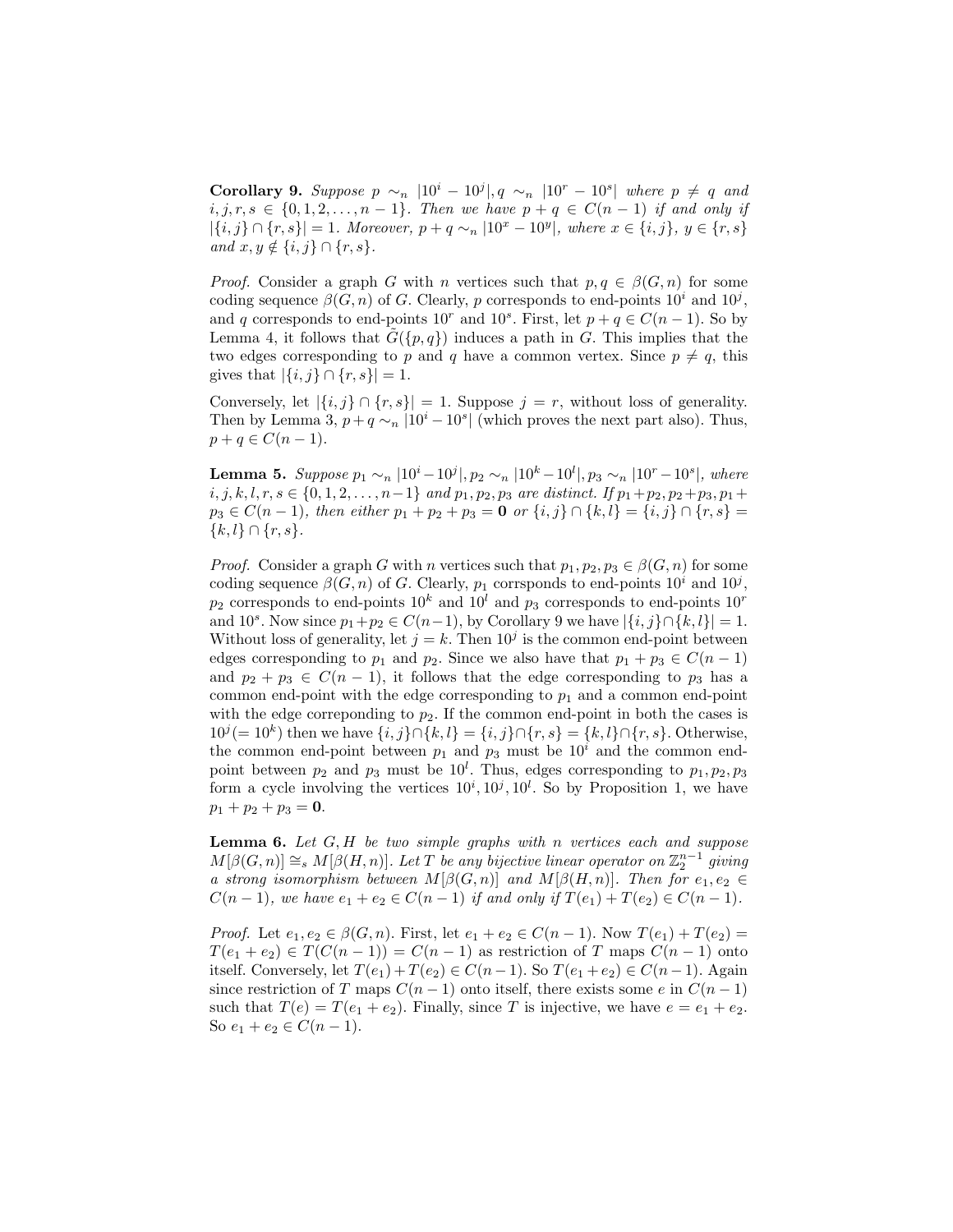Corollary 9. Suppose  $p \sim_n |10^i - 10^j|, q \sim_n |10^r - 10^s|$  where  $p \neq q$  and  $i, j, r, s \in \{0, 1, 2, \ldots, n-1\}$ . Then we have  $p + q \in C(n-1)$  if and only if  $|\{i, j\} \cap \{r, s\}| = 1$ . Moreover,  $p + q \sim_n |10^x - 10^y|$ , where  $x \in \{i, j\}, y \in \{r, s\}$ and  $x, y \notin \{i, j\} \cap \{r, s\}.$ 

*Proof.* Consider a graph G with n vertices such that  $p, q \in \beta(G, n)$  for some coding sequence  $\beta(G, n)$  of G. Clearly, p corresponds to end-points  $10^i$  and  $10^j$ , and q corresponds to end-points  $10^r$  and  $10^s$ . First, let  $p + q \in C(n - 1)$ . So by Lemma 4, it follows that  $G({p, q})$  induces a path in G. This implies that the two edges corresponding to p and q have a common vertex. Since  $p \neq q$ , this gives that  $|\{i, j\} \cap \{r, s\}| = 1$ .

Conversely, let  $|\{i, j\} \cap \{r, s\}| = 1$ . Suppose  $j = r$ , without loss of generality. Then by Lemma 3,  $p + q \sim_n |10^i - 10^s|$  (which proves the next part also). Thus,  $p + q \in C(n - 1).$ 

**Lemma 5.** Suppose  $p_1 \sim_n |10^i - 10^j|$ ,  $p_2 \sim_n |10^k - 10^l|$ ,  $p_3 \sim_n |10^r - 10^s|$ , where  $i, j, k, l, r, s \in \{0, 1, 2, \ldots, n-1\}$  and  $p_1, p_2, p_3$  are distinct. If  $p_1 + p_2, p_2 + p_3, p_1 +$  $p_3 \in C(n-1)$ , then either  $p_1 + p_2 + p_3 = 0$  or  $\{i, j\} \cap \{k, l\} = \{i, j\} \cap \{r, s\} =$  $\{k, l\} \cap \{r, s\}.$ 

*Proof.* Consider a graph G with n vertices such that  $p_1, p_2, p_3 \in \beta(G, n)$  for some coding sequence  $\beta(G, n)$  of G. Clearly,  $p_1$  corrsponds to end-points  $10^i$  and  $10^j$ ,  $p_2$  corresponds to end-points  $10^k$  and  $10^l$  and  $p_3$  corresponds to end-points  $10^r$ and 10<sup>s</sup>. Now since  $p_1 + p_2 \in C(n-1)$ , by Corollary 9 we have  $|\{i, j\} \cap \{k, l\}| = 1$ . Without loss of generality, let  $j = k$ . Then  $10<sup>j</sup>$  is the common end-point between edges corresponding to  $p_1$  and  $p_2$ . Since we also have that  $p_1 + p_3 \in C(n-1)$ and  $p_2 + p_3 \in C(n-1)$ , it follows that the edge corresponding to  $p_3$  has a common end-point with the edge corresponding to  $p_1$  and a common end-point with the edge correponding to  $p_2$ . If the common end-point in both the cases is  $10^{j} (= 10^{k})$  then we have  $\{i, j\} \cap \{k, l\} = \{i, j\} \cap \{r, s\} = \{k, l\} \cap \{r, s\}$ . Otherwise, the common end-point between  $p_1$  and  $p_3$  must be  $10<sup>i</sup>$  and the common endpoint between  $p_2$  and  $p_3$  must be  $10^l$ . Thus, edges corresponding to  $p_1, p_2, p_3$ form a cycle involving the vertices  $10^i, 10^j, 10^l$ . So by Proposition 1, we have  $p_1 + p_2 + p_3 = 0.$ 

**Lemma 6.** Let  $G$ ,  $H$  be two simple graphs with n vertices each and suppose  $M[\beta(G,n)] \cong_s M[\beta(H,n)]$ . Let T be any bijective linear operator on  $\mathbb{Z}_2^{n-1}$  giving a strong isomorphism between  $M[\beta(G,n)]$  and  $M[\beta(H,n)]$ . Then for  $e_1, e_2 \in$  $C(n-1)$ , we have  $e_1 + e_2 \in C(n-1)$  if and only if  $T(e_1) + T(e_2) \in C(n-1)$ .

*Proof.* Let  $e_1, e_2 \in \beta(G, n)$ . First, let  $e_1 + e_2 \in C(n - 1)$ . Now  $T(e_1) + T(e_2) =$  $T(e_1 + e_2) \in T(C(n-1)) = C(n-1)$  as restriction of T maps  $C(n-1)$  onto itself. Conversely, let  $T(e_1) + T(e_2) \in C(n-1)$ . So  $T(e_1 + e_2) \in C(n-1)$ . Again since restriction of T maps  $C(n-1)$  onto itself, there exists some e in  $C(n-1)$ such that  $T(e) = T(e_1 + e_2)$ . Finally, since T is injective, we have  $e = e_1 + e_2$ . So  $e_1 + e_2 \in C(n-1)$ .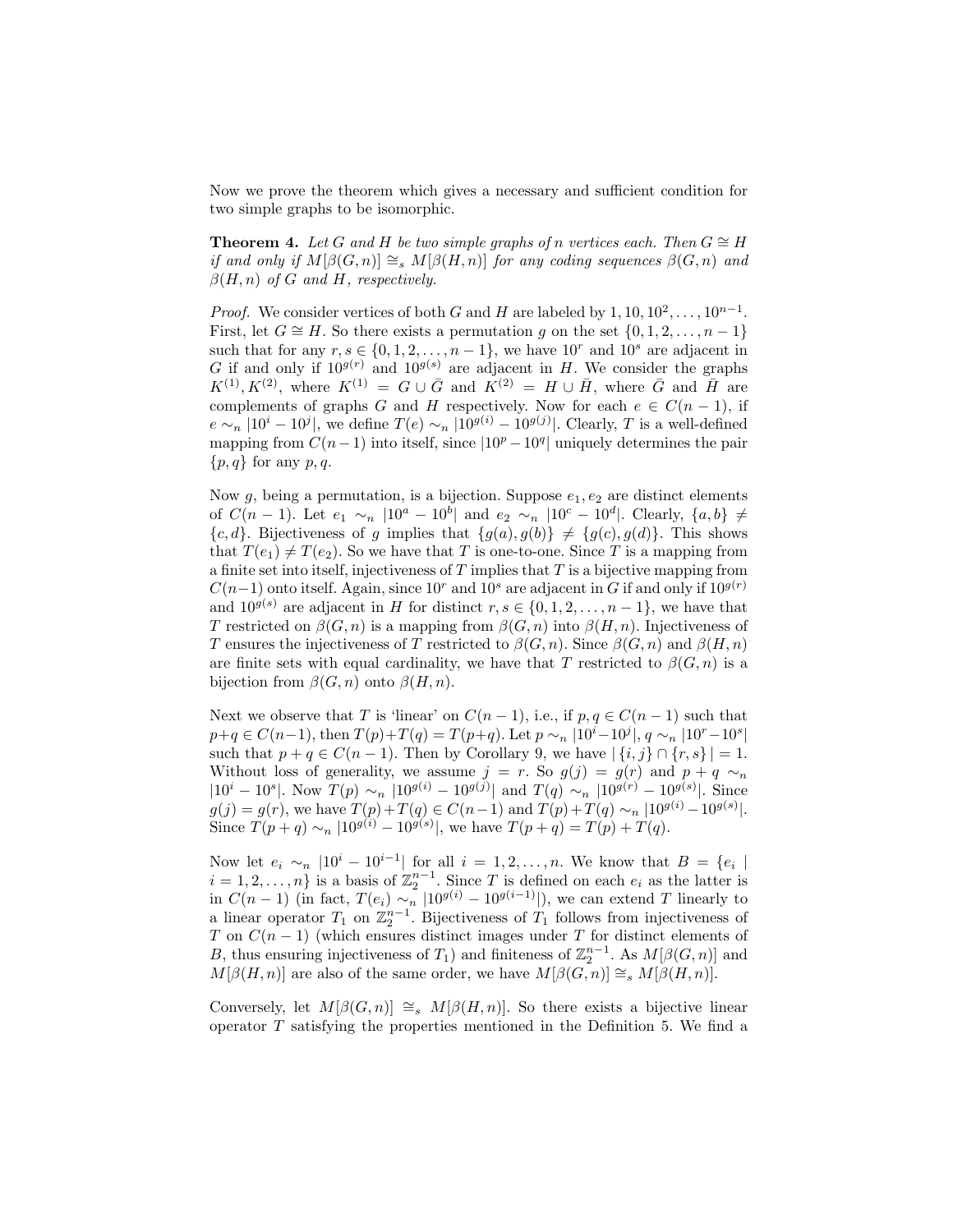Now we prove the theorem which gives a necessary and sufficient condition for two simple graphs to be isomorphic.

**Theorem 4.** Let G and H be two simple graphs of n vertices each. Then  $G \cong H$ if and only if  $M[\beta(G,n)] \cong_s M[\beta(H,n)]$  for any coding sequences  $\beta(G,n)$  and  $\beta(H, n)$  of G and H, respectively.

*Proof.* We consider vertices of both G and H are labeled by  $1, 10, 10^2, \ldots, 10^{n-1}$ . First, let  $G \cong H$ . So there exists a permutation g on the set  $\{0, 1, 2, \ldots, n-1\}$ such that for any  $r, s \in \{0, 1, 2, \ldots, n-1\}$ , we have  $10^r$  and  $10^s$  are adjacent in G if and only if  $10^{g(r)}$  and  $10^{g(s)}$  are adjacent in H. We consider the graphs  $K^{(1)}, K^{(2)},$  where  $K^{(1)} = G \cup \overline{G}$  and  $\overline{K}^{(2)} = H \cup \overline{H}$ , where  $\overline{G}$  and  $\overline{H}$  are complements of graphs G and H respectively. Now for each  $e \in C(n-1)$ , if  $e \sim_n |10^i - 10^j|$ , we define  $T(e) \sim_n |10^{g(i)} - 10^{g(j)}|$ . Clearly, T is a well-defined mapping from  $C(n-1)$  into itself, since  $|10^p - 10^q|$  uniquely determines the pair  $\{p, q\}$  for any p, q.

Now g, being a permutation, is a bijection. Suppose  $e_1, e_2$  are distinct elements of  $C(n-1)$ . Let  $e_1 \sim_n |10^a - 10^b|$  and  $e_2 \sim_n |10^c - 10^d|$ . Clearly,  $\{a, b\} \neq$  ${c, d}$ . Bijectiveness of g implies that  ${g(a), g(b)} \neq {g(c), g(d)}$ . This shows that  $T(e_1) \neq T(e_2)$ . So we have that T is one-to-one. Since T is a mapping from a finite set into itself, injectiveness of  $T$  implies that  $T$  is a bijective mapping from  $C(n-1)$  onto itself. Again, since 10<sup>r</sup> and 10<sup>s</sup> are adjacent in G if and only if 10<sup>g(r)</sup> and  $10^{g(s)}$  are adjacent in H for distinct  $r, s \in \{0, 1, 2, \ldots, n-1\}$ , we have that T restricted on  $\beta(G, n)$  is a mapping from  $\beta(G, n)$  into  $\beta(H, n)$ . Injectiveness of T ensures the injectiveness of T restricted to  $\beta(G, n)$ . Since  $\beta(G, n)$  and  $\beta(H, n)$ are finite sets with equal cardinality, we have that T restricted to  $\beta(G, n)$  is a bijection from  $\beta(G, n)$  onto  $\beta(H, n)$ .

Next we observe that T is 'linear' on  $C(n-1)$ , i.e., if  $p, q \in C(n-1)$  such that  $p+q \in C(n-1)$ , then  $T(p)+T(q) = T(p+q)$ . Let  $p \sim_n |10^i - 10^j|$ ,  $q \sim_n |10^r - 10^s|$ such that  $p + q \in C(n-1)$ . Then by Corollary 9, we have  $|\{i, j\} \cap \{r, s\}| = 1$ . Without loss of generality, we assume  $j = r$ . So  $g(j) = g(r)$  and  $p + q \sim_n$  $|10^i - 10^s|$ . Now  $T(p) \sim_n |10^{g(i)} - 10^{g(j)}|$  and  $T(q) \sim_n |10^{g(r)} - 10^{g(s)}|$ . Since  $g(j) = g(r)$ , we have  $T(p) + T(q) \in C(n-1)$  and  $T(p) + T(q) \sim_n |10^{g(i)} - 10^{g(s)}|$ . Since  $T(p+q) \sim_n |10^{g(i)} - 10^{g(s)}|$ , we have  $T(p+q) = T(p) + T(q)$ .

Now let  $e_i \sim_n |10^i - 10^{i-1}|$  for all  $i = 1, 2, ..., n$ . We know that  $B = \{e_i \mid$  $i = 1, 2, \ldots, n$  is a basis of  $\mathbb{Z}_2^{n-1}$ . Since T is defined on each  $e_i$  as the latter is in  $C(n-1)$  (in fact,  $T(e_i) \sim_n |10^{g(i)} - 10^{g(i-1)}|$ ), we can extend T linearly to a linear operator  $T_1$  on  $\mathbb{Z}_2^{n-1}$ . Bijectiveness of  $T_1$  follows from injectiveness of T on  $C(n-1)$  (which ensures distinct images under T for distinct elements of B, thus ensuring injectiveness of  $T_1$ ) and finiteness of  $\mathbb{Z}_2^{n-1}$ . As  $M[\beta(G, n)]$  and  $M[\beta(H, n)]$  are also of the same order, we have  $M[\beta(G, n)] \cong_s M[\beta(H, n)]$ .

Conversely, let  $M[\beta(G,n)] \cong_s M[\beta(H,n)]$ . So there exists a bijective linear operator  $T$  satisfying the properties mentioned in the Definition 5. We find a